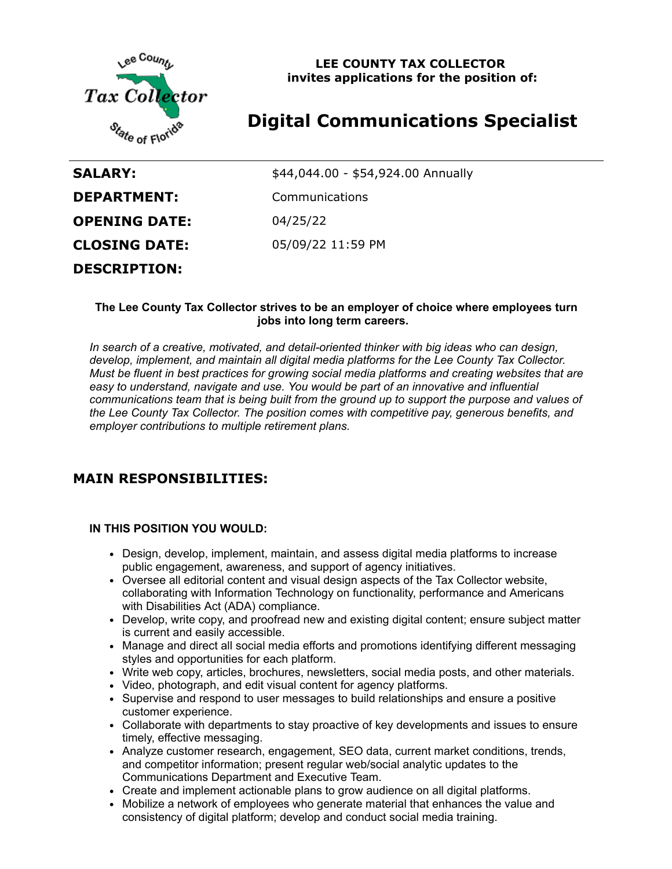

**LEE COUNTY TAX COLLECTOR invites applications for the position of:**

# **Digital Communications Specialist**

| <b>SALARY:</b>       | \$44,044.00 - \$54,924.00 Annually |
|----------------------|------------------------------------|
| <b>DEPARTMENT:</b>   | Communications                     |
| <b>OPENING DATE:</b> | 04/25/22                           |
| <b>CLOSING DATE:</b> | 05/09/22 11:59 PM                  |
| <b>DESCRIPTION:</b>  |                                    |

#### **The Lee County Tax Collector strives to be an employer of choice where employees turn jobs into long term careers.**

*In search of a creative, motivated, and detail-oriented thinker with big ideas who can design, develop, implement, and maintain all digital media platforms for the Lee County Tax Collector. Must be fluent in best practices for growing social media platforms and creating websites that are easy to understand, navigate and use. You would be part of an innovative and influential communications team that is being built from the ground up to support the purpose and values of the Lee County Tax Collector. The position comes with competitive pay, generous benefits, and employer contributions to multiple retirement plans.*

## **MAIN RESPONSIBILITIES:**

#### **IN THIS POSITION YOU WOULD:**

- Design, develop, implement, maintain, and assess digital media platforms to increase public engagement, awareness, and support of agency initiatives.
- Oversee all editorial content and visual design aspects of the Tax Collector website, collaborating with Information Technology on functionality, performance and Americans with Disabilities Act (ADA) compliance.
- Develop, write copy, and proofread new and existing digital content; ensure subject matter is current and easily accessible.
- Manage and direct all social media efforts and promotions identifying different messaging styles and opportunities for each platform.
- Write web copy, articles, brochures, newsletters, social media posts, and other materials.
- Video, photograph, and edit visual content for agency platforms.
- Supervise and respond to user messages to build relationships and ensure a positive customer experience.
- Collaborate with departments to stay proactive of key developments and issues to ensure timely, effective messaging.
- Analyze customer research, engagement, SEO data, current market conditions, trends, and competitor information; present regular web/social analytic updates to the Communications Department and Executive Team.
- Create and implement actionable plans to grow audience on all digital platforms.
- Mobilize a network of employees who generate material that enhances the value and consistency of digital platform; develop and conduct social media training.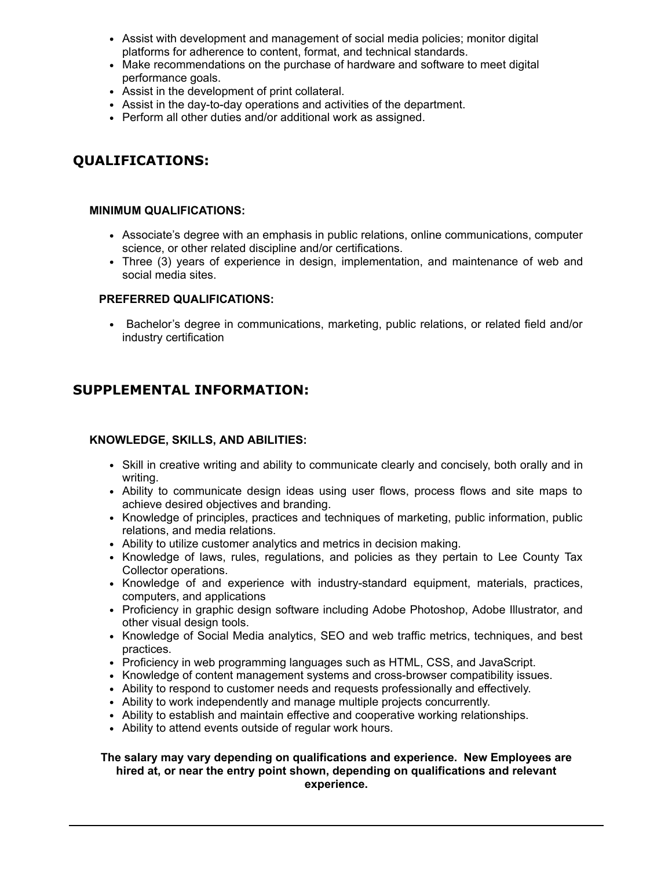- Assist with development and management of social media policies; monitor digital platforms for adherence to content, format, and technical standards.
- Make recommendations on the purchase of hardware and software to meet digital performance goals.
- Assist in the development of print collateral.
- Assist in the day-to-day operations and activities of the department.
- Perform all other duties and/or additional work as assigned.

## **QUALIFICATIONS:**

#### **MINIMUM QUALIFICATIONS:**

- Associate's degree with an emphasis in public relations, online communications, computer science, or other related discipline and/or certifications.
- Three (3) years of experience in design, implementation, and maintenance of web and social media sites.

#### **PREFERRED QUALIFICATIONS:**

• Bachelor's degree in communications, marketing, public relations, or related field and/or industry certification

## **SUPPLEMENTAL INFORMATION:**

#### **KNOWLEDGE, SKILLS, AND ABILITIES:**

- Skill in creative writing and ability to communicate clearly and concisely, both orally and in writing.
- Ability to communicate design ideas using user flows, process flows and site maps to achieve desired objectives and branding.
- Knowledge of principles, practices and techniques of marketing, public information, public relations, and media relations.
- Ability to utilize customer analytics and metrics in decision making.
- Knowledge of laws, rules, regulations, and policies as they pertain to Lee County Tax Collector operations.
- Knowledge of and experience with industry-standard equipment, materials, practices, computers, and applications
- Proficiency in graphic design software including Adobe Photoshop, Adobe Illustrator, and other visual design tools.
- Knowledge of Social Media analytics, SEO and web traffic metrics, techniques, and best practices.
- Proficiency in web programming languages such as HTML, CSS, and JavaScript.
- Knowledge of content management systems and cross-browser compatibility issues.
- Ability to respond to customer needs and requests professionally and effectively.
- Ability to work independently and manage multiple projects concurrently.
- Ability to establish and maintain effective and cooperative working relationships.
- Ability to attend events outside of regular work hours.

#### **The salary may vary depending on qualifications and experience. New Employees are hired at, or near the entry point shown, depending on qualifications and relevant experience.**